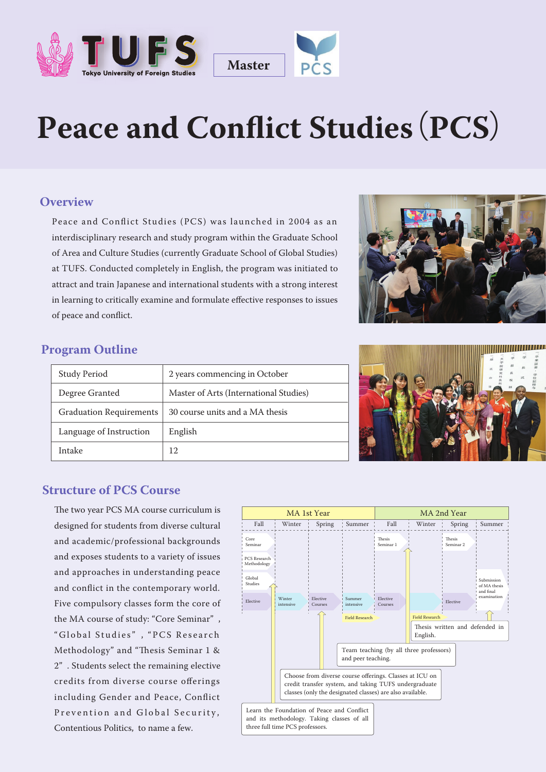



# Peace and Conflict Studies (PCS)

#### **Overview**

Peace and Conflict Studies (PCS) was launched in 2004 as an interdisciplinary research and study program within the Graduate School of Area and Culture Studies (currently Graduate School of Global Studies) at TUFS. Conducted completely in English, the program was initiated to attract and train Japanese and international students with a strong interest in learning to critically examine and formulate effective responses to issues of peace and conflict.



#### **Program Outline**

| <b>Study Period</b>            | 2 years commencing in October          |
|--------------------------------|----------------------------------------|
| Degree Granted                 | Master of Arts (International Studies) |
| <b>Graduation Requirements</b> | 30 course units and a MA thesis        |
| Language of Instruction        | English                                |
| Intake                         | 12                                     |



#### **Structure of PCS Course**

The two year PCS MA course curriculum is designed for students from diverse cultural and academic/professional backgrounds and exposes students to a variety of issues and approaches in understanding peace and conflict in the contemporary world. Five compulsory classes form the core of the MA course of study: "Core Seminar" , "Global Studies" , "PCS Research Methodology" and "Thesis Seminar 1 & 2" . Students select the remaining elective credits from diverse course offerings including Gender and Peace, Conflict Prevention and Global Security, Contentious Politics, to name a few.